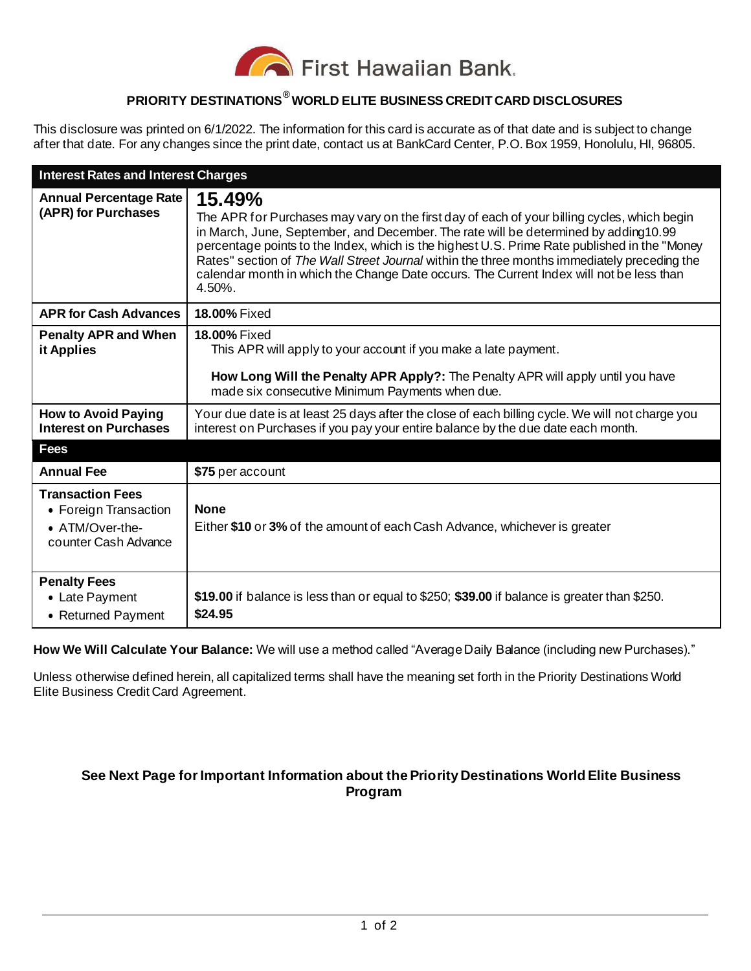

## **PRIORITY DESTINATIONS® WORLD ELITE BUSINESS CREDIT CARD DISCLOSURES**

This disclosure was printed on 6/1/2022. The information for this card is accurate as of that date and is subject to change after that date. For any changes since the print date, contact us at BankCard Center, P.O. Box 1959, Honolulu, HI, 96805.

| <b>Interest Rates and Interest Charges</b>                                                  |                                                                                                                                                                                                                                                                                                                                                                                                                                                                                                      |
|---------------------------------------------------------------------------------------------|------------------------------------------------------------------------------------------------------------------------------------------------------------------------------------------------------------------------------------------------------------------------------------------------------------------------------------------------------------------------------------------------------------------------------------------------------------------------------------------------------|
| <b>Annual Percentage Rate</b><br>(APR) for Purchases                                        | 15.49%<br>The APR for Purchases may vary on the first day of each of your billing cycles, which begin<br>in March, June, September, and December. The rate will be determined by adding10.99<br>percentage points to the Index, which is the highest U.S. Prime Rate published in the "Money<br>Rates" section of The Wall Street Journal within the three months immediately preceding the<br>calendar month in which the Change Date occurs. The Current Index will not be less than<br>$4.50\%$ . |
| <b>APR for Cash Advances</b>                                                                | <b>18.00% Fixed</b>                                                                                                                                                                                                                                                                                                                                                                                                                                                                                  |
| <b>Penalty APR and When</b><br>it Applies                                                   | <b>18.00% Fixed</b><br>This APR will apply to your account if you make a late payment.<br>How Long Will the Penalty APR Apply?: The Penalty APR will apply until you have<br>made six consecutive Minimum Payments when due.                                                                                                                                                                                                                                                                         |
| <b>How to Avoid Paying</b><br><b>Interest on Purchases</b>                                  | Your due date is at least 25 days after the close of each billing cycle. We will not charge you<br>interest on Purchases if you pay your entire balance by the due date each month.                                                                                                                                                                                                                                                                                                                  |
| <b>Fees</b>                                                                                 |                                                                                                                                                                                                                                                                                                                                                                                                                                                                                                      |
| <b>Annual Fee</b>                                                                           | \$75 per account                                                                                                                                                                                                                                                                                                                                                                                                                                                                                     |
| <b>Transaction Fees</b><br>• Foreign Transaction<br>• ATM/Over-the-<br>counter Cash Advance | <b>None</b><br>Either \$10 or 3% of the amount of each Cash Advance, whichever is greater                                                                                                                                                                                                                                                                                                                                                                                                            |
| <b>Penalty Fees</b><br>• Late Payment<br>• Returned Payment                                 | \$19.00 if balance is less than or equal to \$250; \$39.00 if balance is greater than \$250.<br>\$24.95                                                                                                                                                                                                                                                                                                                                                                                              |

**How We Will Calculate Your Balance:** We will use a method called "Average Daily Balance (including new Purchases)."

Unless otherwise defined herein, all capitalized terms shall have the meaning set forth in the Priority Destinations World Elite Business Credit Card Agreement.

## **See Next Page for Important Information about the Priority Destinations World Elite Business Program**